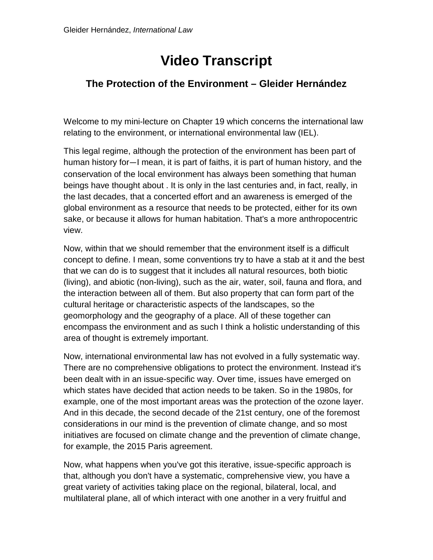## **Video Transcript**

## **The Protection of the Environment – Gleider Hernández**

Welcome to my mini-lecture on Chapter 19 which concerns the international law relating to the environment, or international environmental law (IEL).

This legal regime, although the protection of the environment has been part of human history for—I mean, it is part of faiths, it is part of human history, and the conservation of the local environment has always been something that human beings have thought about . It is only in the last centuries and, in fact, really, in the last decades, that a concerted effort and an awareness is emerged of the global environment as a resource that needs to be protected, either for its own sake, or because it allows for human habitation. That's a more anthropocentric view.

Now, within that we should remember that the environment itself is a difficult concept to define. I mean, some conventions try to have a stab at it and the best that we can do is to suggest that it includes all natural resources, both biotic (living), and abiotic (non-living), such as the air, water, soil, fauna and flora, and the interaction between all of them. But also property that can form part of the cultural heritage or characteristic aspects of the landscapes, so the geomorphology and the geography of a place. All of these together can encompass the environment and as such I think a holistic understanding of this area of thought is extremely important.

Now, international environmental law has not evolved in a fully systematic way. There are no comprehensive obligations to protect the environment. Instead it's been dealt with in an issue-specific way. Over time, issues have emerged on which states have decided that action needs to be taken. So in the 1980s, for example, one of the most important areas was the protection of the ozone layer. And in this decade, the second decade of the 21st century, one of the foremost considerations in our mind is the prevention of climate change, and so most initiatives are focused on climate change and the prevention of climate change, for example, the 2015 Paris agreement.

Now, what happens when you've got this iterative, issue-specific approach is that, although you don't have a systematic, comprehensive view, you have a great variety of activities taking place on the regional, bilateral, local, and multilateral plane, all of which interact with one another in a very fruitful and